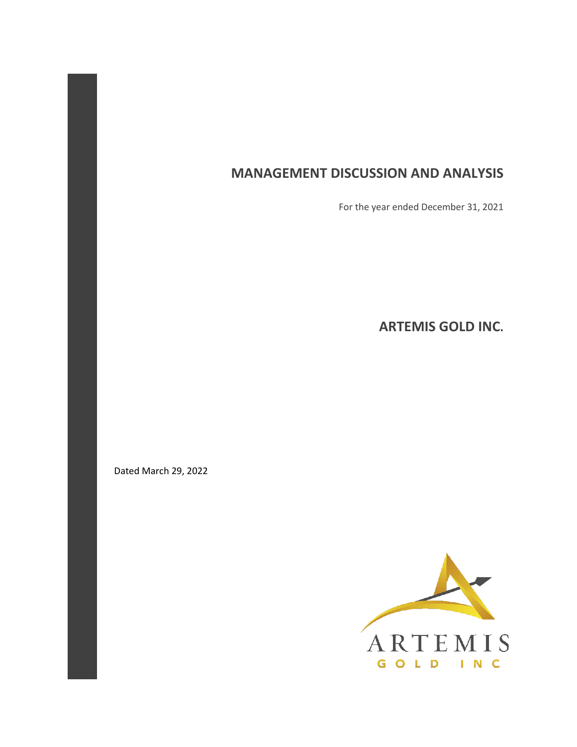# **MANAGEMENT DISCUSSION AND ANALYSIS**

For the year ended December 31, 2021

**ARTEMIS GOLD INC.** 

Dated March 29, 2022

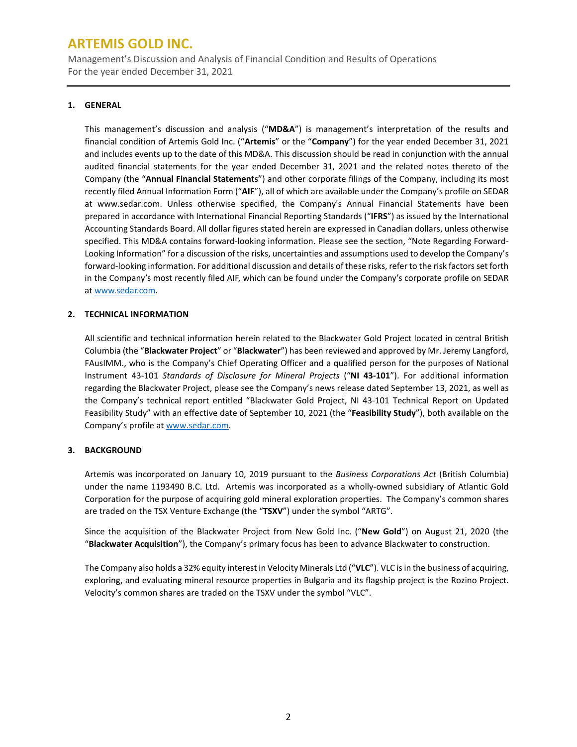Management's Discussion and Analysis of Financial Condition and Results of Operations For the year ended December 31, 2021

### **1. GENERAL**

This management's discussion and analysis ("**MD&A**") is management's interpretation of the results and financial condition of Artemis Gold Inc. ("**Artemis**" or the "**Company**") for the year ended December 31, 2021 and includes events up to the date of this MD&A. This discussion should be read in conjunction with the annual audited financial statements for the year ended December 31, 2021 and the related notes thereto of the Company (the "**Annual Financial Statements**") and other corporate filings of the Company, including its most recently filed Annual Information Form ("**AIF**"), all of which are available under the Company's profile on SEDAR at www.sedar.com. Unless otherwise specified, the Company's Annual Financial Statements have been prepared in accordance with International Financial Reporting Standards ("**IFRS**") as issued by the International Accounting Standards Board. All dollar figures stated herein are expressed in Canadian dollars, unless otherwise specified. This MD&A contains forward-looking information. Please see the section, "Note Regarding Forward-Looking Information" for a discussion of the risks, uncertainties and assumptions used to develop the Company's forward-looking information. For additional discussion and details of these risks, refer to the risk factors set forth in the Company's most recently filed AIF, which can be found under the Company's corporate profile on SEDAR a[t www.sedar.com.](http://www.sedar.com/)

## **2. TECHNICAL INFORMATION**

All scientific and technical information herein related to the Blackwater Gold Project located in central British Columbia (the "**Blackwater Project**" or "**Blackwater**") has been reviewed and approved by Mr. Jeremy Langford, FAusIMM., who is the Company's Chief Operating Officer and a qualified person for the purposes of National Instrument 43-101 *Standards of Disclosure for Mineral Projects* ("**NI 43-101**"). For additional information regarding the Blackwater Project, please see the Company's news release dated September 13, 2021, as well as the Company's technical report entitled "Blackwater Gold Project, NI 43-101 Technical Report on Updated Feasibility Study" with an effective date of September 10, 2021 (the "**Feasibility Study**"), both available on the Company's profile a[t www.sedar.com.](http://www.sedar.com/)

## **3. BACKGROUND**

Artemis was incorporated on January 10, 2019 pursuant to the *Business Corporations Act* (British Columbia) under the name 1193490 B.C. Ltd. Artemis was incorporated as a wholly-owned subsidiary of Atlantic Gold Corporation for the purpose of acquiring gold mineral exploration properties. The Company's common shares are traded on the TSX Venture Exchange (the "**TSXV**") under the symbol "ARTG".

Since the acquisition of the Blackwater Project from New Gold Inc. ("**New Gold**") on August 21, 2020 (the "**Blackwater Acquisition**"), the Company's primary focus has been to advance Blackwater to construction.

The Company also holds a 32% equity interest in Velocity Minerals Ltd ("**VLC**"). VLC is in the business of acquiring, exploring, and evaluating mineral resource properties in Bulgaria and its flagship project is the Rozino Project. Velocity's common shares are traded on the TSXV under the symbol "VLC".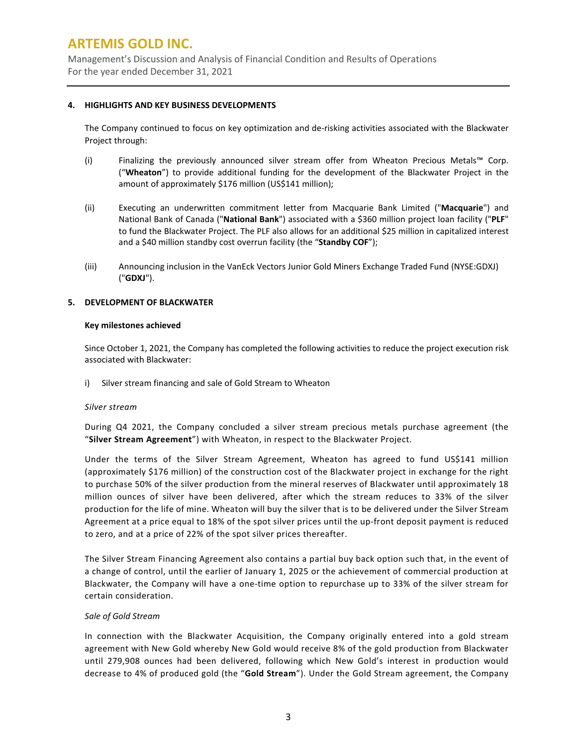Management's Discussion and Analysis of Financial Condition and Results of Operations For the year ended December 31, 2021

#### **4. HIGHLIGHTS AND KEY BUSINESS DEVELOPMENTS**

The Company continued to focus on key optimization and de-risking activities associated with the Blackwater Project through:

- (i) Finalizing the previously announced silver stream offer from Wheaton Precious Metals™ Corp. ("**Wheaton**") to provide additional funding for the development of the Blackwater Project in the amount of approximately \$176 million (US\$141 million);
- (ii) Executing an underwritten commitment letter from Macquarie Bank Limited ("**Macquarie**") and National Bank of Canada ("**National Bank**") associated with a \$360 million project loan facility ("**PLF**" to fund the Blackwater Project. The PLF also allows for an additional \$25 million in capitalized interest and a \$40 million standby cost overrun facility (the "**Standby COF**");
- (iii) Announcing inclusion in the VanEck Vectors Junior Gold Miners Exchange Traded Fund (NYSE:GDXJ) ("**GDXJ**").

### **5. DEVELOPMENT OF BLACKWATER**

#### **Key milestones achieved**

Since October 1, 2021, the Company has completed the following activities to reduce the project execution risk associated with Blackwater:

i) Silver stream financing and sale of Gold Stream to Wheaton

### *Silver stream*

During Q4 2021, the Company concluded a silver stream precious metals purchase agreement (the "**Silver Stream Agreement**") with Wheaton, in respect to the Blackwater Project.

Under the terms of the Silver Stream Agreement, Wheaton has agreed to fund US\$141 million (approximately \$176 million) of the construction cost of the Blackwater project in exchange for the right to purchase 50% of the silver production from the mineral reserves of Blackwater until approximately 18 million ounces of silver have been delivered, after which the stream reduces to 33% of the silver production for the life of mine. Wheaton will buy the silver that is to be delivered under the Silver Stream Agreement at a price equal to 18% of the spot silver prices until the up-front deposit payment is reduced to zero, and at a price of 22% of the spot silver prices thereafter.

The Silver Stream Financing Agreement also contains a partial buy back option such that, in the event of a change of control, until the earlier of January 1, 2025 or the achievement of commercial production at Blackwater, the Company will have a one-time option to repurchase up to 33% of the silver stream for certain consideration.

### *Sale of Gold Stream*

In connection with the Blackwater Acquisition, the Company originally entered into a gold stream agreement with New Gold whereby New Gold would receive 8% of the gold production from Blackwater until 279,908 ounces had been delivered, following which New Gold's interest in production would decrease to 4% of produced gold (the "**Gold Stream**"). Under the Gold Stream agreement, the Company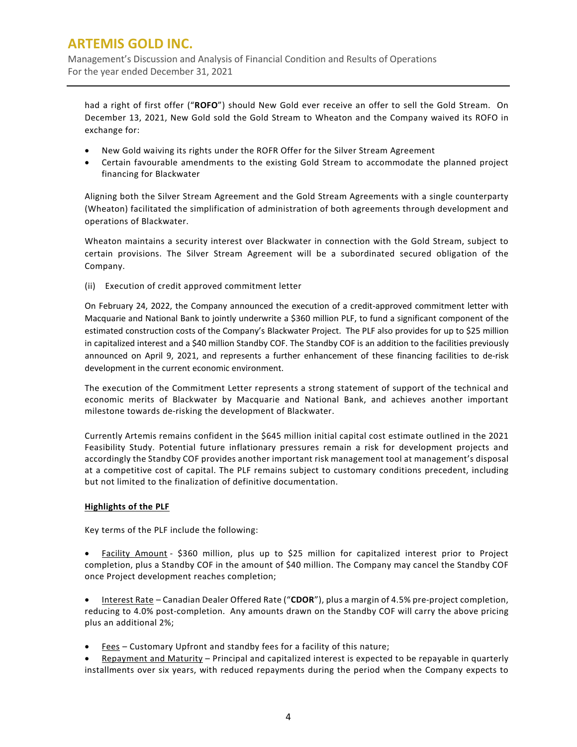Management's Discussion and Analysis of Financial Condition and Results of Operations For the year ended December 31, 2021

had a right of first offer ("**ROFO**") should New Gold ever receive an offer to sell the Gold Stream. On December 13, 2021, New Gold sold the Gold Stream to Wheaton and the Company waived its ROFO in exchange for:

- New Gold waiving its rights under the ROFR Offer for the Silver Stream Agreement
- Certain favourable amendments to the existing Gold Stream to accommodate the planned project financing for Blackwater

Aligning both the Silver Stream Agreement and the Gold Stream Agreements with a single counterparty (Wheaton) facilitated the simplification of administration of both agreements through development and operations of Blackwater.

Wheaton maintains a security interest over Blackwater in connection with the Gold Stream, subject to certain provisions. The Silver Stream Agreement will be a subordinated secured obligation of the Company.

(ii) Execution of credit approved commitment letter

On February 24, 2022, the Company announced the execution of a credit-approved commitment letter with Macquarie and National Bank to jointly underwrite a \$360 million PLF, to fund a significant component of the estimated construction costs of the Company's Blackwater Project. The PLF also provides for up to \$25 million in capitalized interest and a \$40 million Standby COF. The Standby COF is an addition to the facilities previously announced on April 9, 2021, and represents a further enhancement of these financing facilities to de-risk development in the current economic environment.

The execution of the Commitment Letter represents a strong statement of support of the technical and economic merits of Blackwater by Macquarie and National Bank, and achieves another important milestone towards de-risking the development of Blackwater.

Currently Artemis remains confident in the \$645 million initial capital cost estimate outlined in the 2021 Feasibility Study. Potential future inflationary pressures remain a risk for development projects and accordingly the Standby COF provides another important risk management tool at management's disposal at a competitive cost of capital. The PLF remains subject to customary conditions precedent, including but not limited to the finalization of definitive documentation.

## **Highlights of the PLF**

Key terms of the PLF include the following:

• Facility Amount - \$360 million, plus up to \$25 million for capitalized interest prior to Project completion, plus a Standby COF in the amount of \$40 million. The Company may cancel the Standby COF once Project development reaches completion;

• Interest Rate – Canadian Dealer Offered Rate ("**CDOR**"), plus a margin of 4.5% pre-project completion, reducing to 4.0% post-completion. Any amounts drawn on the Standby COF will carry the above pricing plus an additional 2%;

- Fees Customary Upfront and standby fees for a facility of this nature;
- Repayment and Maturity Principal and capitalized interest is expected to be repayable in quarterly installments over six years, with reduced repayments during the period when the Company expects to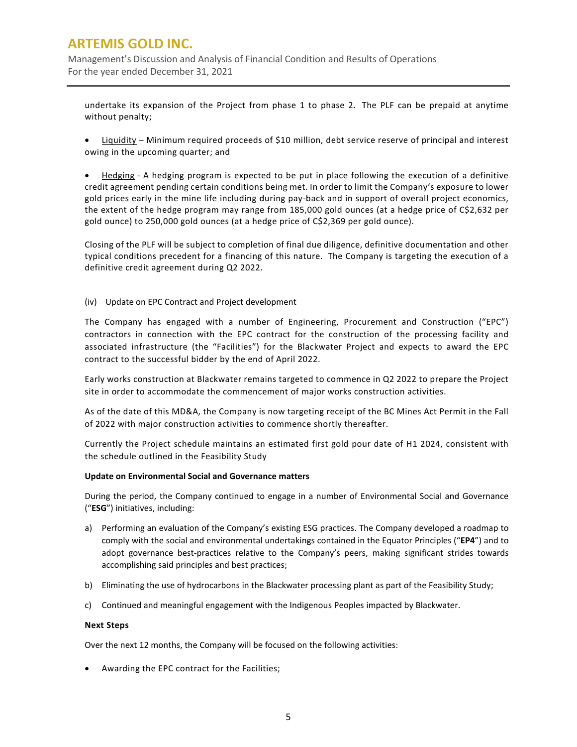Management's Discussion and Analysis of Financial Condition and Results of Operations For the year ended December 31, 2021

undertake its expansion of the Project from phase 1 to phase 2. The PLF can be prepaid at anytime without penalty;

• Liquidity – Minimum required proceeds of \$10 million, debt service reserve of principal and interest owing in the upcoming quarter; and

• Hedging - A hedging program is expected to be put in place following the execution of a definitive credit agreement pending certain conditions being met. In order to limit the Company's exposure to lower gold prices early in the mine life including during pay-back and in support of overall project economics, the extent of the hedge program may range from 185,000 gold ounces (at a hedge price of C\$2,632 per gold ounce) to 250,000 gold ounces (at a hedge price of C\$2,369 per gold ounce).

Closing of the PLF will be subject to completion of final due diligence, definitive documentation and other typical conditions precedent for a financing of this nature. The Company is targeting the execution of a definitive credit agreement during Q2 2022.

### (iv) Update on EPC Contract and Project development

The Company has engaged with a number of Engineering, Procurement and Construction ("EPC") contractors in connection with the EPC contract for the construction of the processing facility and associated infrastructure (the "Facilities") for the Blackwater Project and expects to award the EPC contract to the successful bidder by the end of April 2022.

Early works construction at Blackwater remains targeted to commence in Q2 2022 to prepare the Project site in order to accommodate the commencement of major works construction activities.

As of the date of this MD&A, the Company is now targeting receipt of the BC Mines Act Permit in the Fall of 2022 with major construction activities to commence shortly thereafter.

Currently the Project schedule maintains an estimated first gold pour date of H1 2024, consistent with the schedule outlined in the Feasibility Study

#### **Update on Environmental Social and Governance matters**

During the period, the Company continued to engage in a number of Environmental Social and Governance ("**ESG**") initiatives, including:

- a) Performing an evaluation of the Company's existing ESG practices. The Company developed a roadmap to comply with the social and environmental undertakings contained in the Equator Principles ("**EP4**") and to adopt governance best-practices relative to the Company's peers, making significant strides towards accomplishing said principles and best practices;
- b) Eliminating the use of hydrocarbons in the Blackwater processing plant as part of the Feasibility Study;
- c) Continued and meaningful engagement with the Indigenous Peoples impacted by Blackwater.

#### **Next Steps**

Over the next 12 months, the Company will be focused on the following activities:

• Awarding the EPC contract for the Facilities;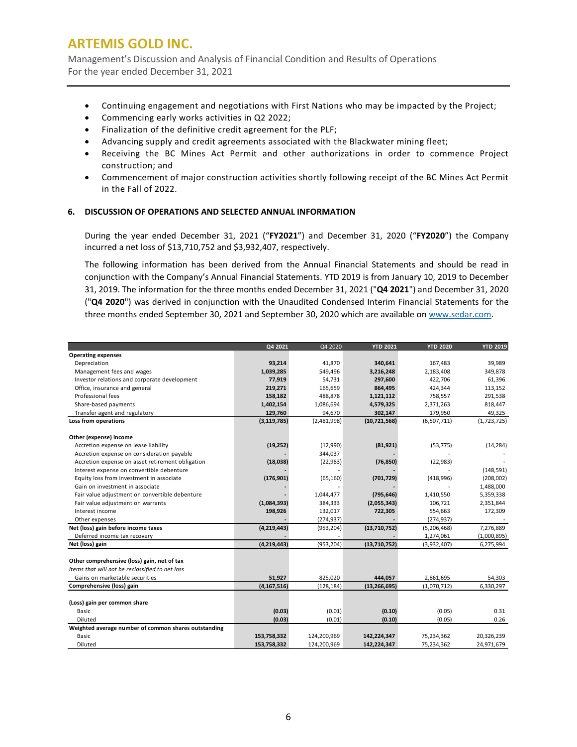Management's Discussion and Analysis of Financial Condition and Results of Operations For the year ended December 31, 2021

- Continuing engagement and negotiations with First Nations who may be impacted by the Project;
- Commencing early works activities in Q2 2022;
- Finalization of the definitive credit agreement for the PLF;
- Advancing supply and credit agreements associated with the Blackwater mining fleet;
- Receiving the BC Mines Act Permit and other authorizations in order to commence Project construction; and
- Commencement of major construction activities shortly following receipt of the BC Mines Act Permit in the Fall of 2022.

#### **6. DISCUSSION OF OPERATIONS AND SELECTED ANNUAL INFORMATION**

During the year ended December 31, 2021 ("**FY2021**") and December 31, 2020 ("**FY2020**") the Company incurred a net loss of \$13,710,752 and \$3,932,407, respectively.

The following information has been derived from the Annual Financial Statements and should be read in conjunction with the Company's Annual Financial Statements. YTD 2019 is from January 10, 2019 to December 31, 2019. The information for the three months ended December 31, 2021 ("**Q4 2021**") and December 31, 2020 ("**Q4 2020**") was derived in conjunction with the Unaudited Condensed Interim Financial Statements for the three months ended September 30, 2021 and September 30, 2020 which are available on [www.sedar.com.](http://www.sedar.com/)

|                                                      | Q4 2021       | Q4 2020     | <b>YTD 2021</b> | <b>YTD 2020</b> | <b>YTD 2019</b> |
|------------------------------------------------------|---------------|-------------|-----------------|-----------------|-----------------|
| <b>Operating expenses</b>                            |               |             |                 |                 |                 |
| Depreciation                                         | 93,214        | 41.870      | 340,641         | 167,483         | 39,989          |
| Management fees and wages                            | 1,039,285     | 549,496     | 3,216,248       | 2,183,408       | 349,878         |
| Investor relations and corporate development         | 77,919        | 54,731      | 297,600         | 422.706         | 61,396          |
| Office, insurance and general                        | 219,271       | 165,659     | 864,495         | 424,344         | 113,152         |
| Professional fees                                    | 158,182       | 488,878     | 1,121,112       | 758,557         | 291,538         |
| Share-based payments                                 | 1,402,154     | 1,086,694   | 4,579,325       | 2,371,263       | 818,447         |
| Transfer agent and regulatory                        | 129,760       | 94,670      | 302,147         | 179,950         | 49,325          |
| Loss from operations                                 | (3, 119, 785) | (2,481,998) | (10,721,568)    | (6,507,711)     | (1,723,725)     |
|                                                      |               |             |                 |                 |                 |
| Other (expense) income                               |               |             |                 |                 |                 |
| Accretion expense on lease liability                 | (19, 252)     | (12,990)    | (81, 921)       | (53, 775)       | (14, 284)       |
| Accretion expense on consideration payable           |               | 344,037     |                 |                 |                 |
| Accretion expense on asset retirement obligation     | (18,038)      | (22, 983)   | (76, 850)       | (22, 983)       |                 |
| Interest expense on convertible debenture            |               |             |                 |                 | (148, 591)      |
| Equity loss from investment in associate             | (176, 901)    | (65, 160)   | (701, 729)      | (418,996)       | (208,002)       |
| Gain on investment in associate                      |               |             |                 |                 | 1,488,000       |
| Fair value adjustment on convertible debenture       |               | 1,044,477   | (795, 646)      | 1,410,550       | 5,359,338       |
| Fair value adjustment on warrants                    | (1,084,393)   | 384,333     | (2,055,343)     | 106,721         | 2,351,844       |
| Interest income                                      | 198,926       | 132,017     | 722,305         | 554,663         | 172,309         |
| Other expenses                                       |               | (274, 937)  |                 | (274, 937)      |                 |
| Net (loss) gain before income taxes                  | (4, 219, 443) | (953, 204)  | (13,710,752)    | (5,206,468)     | 7,276,889       |
| Deferred income tax recovery                         |               |             |                 | 1,274,061       | (1,000,895)     |
| Net (loss) gain                                      | (4, 219, 443) | (953, 204)  | (13,710,752)    | (3,932,407)     | 6,275,994       |
|                                                      |               |             |                 |                 |                 |
| Other comprehensive (loss) gain, net of tax          |               |             |                 |                 |                 |
| Items that will not be reclassified to net loss      |               |             |                 |                 |                 |
| Gains on marketable securities                       | 51,927        | 825,020     | 444,057         | 2,861,695       | 54,303          |
| Comprehensive (loss) gain                            | (4, 167, 516) | (128, 184)  | (13, 266, 695)  | (1,070,712)     | 6,330,297       |
|                                                      |               |             |                 |                 |                 |
| (Loss) gain per common share                         |               |             |                 |                 |                 |
| Basic                                                | (0.03)        | (0.01)      | (0.10)          | (0.05)          | 0.31            |
| Diluted                                              | (0.03)        | (0.01)      | (0.10)          | (0.05)          | 0.26            |
| Weighted average number of common shares outstanding |               |             |                 |                 |                 |
| Basic                                                | 153,758,332   | 124,200,969 | 142,224,347     | 75,234,362      | 20,326,239      |
| Diluted                                              | 153.758.332   | 124,200,969 | 142.224.347     | 75.234.362      | 24,971,679      |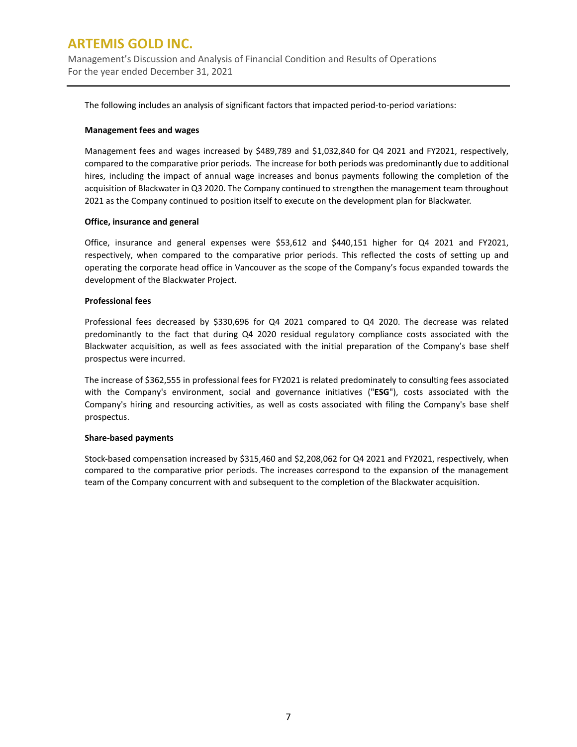Management's Discussion and Analysis of Financial Condition and Results of Operations For the year ended December 31, 2021

The following includes an analysis of significant factors that impacted period-to-period variations:

#### **Management fees and wages**

Management fees and wages increased by \$489,789 and \$1,032,840 for Q4 2021 and FY2021, respectively, compared to the comparative prior periods. The increase for both periods was predominantly due to additional hires, including the impact of annual wage increases and bonus payments following the completion of the acquisition of Blackwater in Q3 2020. The Company continued to strengthen the management team throughout 2021 as the Company continued to position itself to execute on the development plan for Blackwater.

#### **Office, insurance and general**

Office, insurance and general expenses were \$53,612 and \$440,151 higher for Q4 2021 and FY2021, respectively, when compared to the comparative prior periods. This reflected the costs of setting up and operating the corporate head office in Vancouver as the scope of the Company's focus expanded towards the development of the Blackwater Project.

#### **Professional fees**

Professional fees decreased by \$330,696 for Q4 2021 compared to Q4 2020. The decrease was related predominantly to the fact that during Q4 2020 residual regulatory compliance costs associated with the Blackwater acquisition, as well as fees associated with the initial preparation of the Company's base shelf prospectus were incurred.

The increase of \$362,555 in professional fees for FY2021 is related predominately to consulting fees associated with the Company's environment, social and governance initiatives ("**ESG**"), costs associated with the Company's hiring and resourcing activities, as well as costs associated with filing the Company's base shelf prospectus.

#### **Share-based payments**

Stock-based compensation increased by \$315,460 and \$2,208,062 for Q4 2021 and FY2021, respectively, when compared to the comparative prior periods. The increases correspond to the expansion of the management team of the Company concurrent with and subsequent to the completion of the Blackwater acquisition.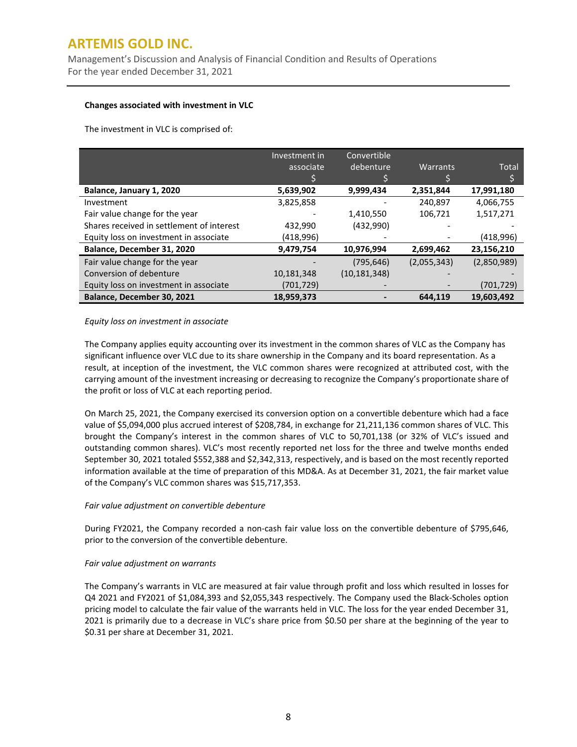Management's Discussion and Analysis of Financial Condition and Results of Operations For the year ended December 31, 2021

### **Changes associated with investment in VLC**

The investment in VLC is comprised of:

|                                           | Investment in | Convertible    |             |             |
|-------------------------------------------|---------------|----------------|-------------|-------------|
|                                           | associate     | debenture      | Warrants    | Total       |
|                                           |               |                |             |             |
| Balance, January 1, 2020                  | 5,639,902     | 9,999,434      | 2,351,844   | 17,991,180  |
| Investment                                | 3,825,858     |                | 240,897     | 4,066,755   |
| Fair value change for the year            |               | 1,410,550      | 106,721     | 1,517,271   |
| Shares received in settlement of interest | 432,990       | (432,990)      |             |             |
| Equity loss on investment in associate    | (418,996)     |                |             | (418,996)   |
| Balance, December 31, 2020                | 9,479,754     | 10,976,994     | 2,699,462   | 23,156,210  |
| Fair value change for the year            |               | (795, 646)     | (2,055,343) | (2,850,989) |
| Conversion of debenture                   | 10,181,348    | (10, 181, 348) |             |             |
| Equity loss on investment in associate    | (701,729)     |                |             | (701, 729)  |
| Balance, December 30, 2021                | 18,959,373    |                | 644.119     | 19.603.492  |

### *Equity loss on investment in associate*

The Company applies equity accounting over its investment in the common shares of VLC as the Company has significant influence over VLC due to its share ownership in the Company and its board representation. As a result, at inception of the investment, the VLC common shares were recognized at attributed cost, with the carrying amount of the investment increasing or decreasing to recognize the Company's proportionate share of the profit or loss of VLC at each reporting period.

On March 25, 2021, the Company exercised its conversion option on a convertible debenture which had a face value of \$5,094,000 plus accrued interest of \$208,784, in exchange for 21,211,136 common shares of VLC. This brought the Company's interest in the common shares of VLC to 50,701,138 (or 32% of VLC's issued and outstanding common shares). VLC's most recently reported net loss for the three and twelve months ended September 30, 2021 totaled \$552,388 and \$2,342,313, respectively, and is based on the most recently reported information available at the time of preparation of this MD&A. As at December 31, 2021, the fair market value of the Company's VLC common shares was \$15,717,353.

### *Fair value adjustment on convertible debenture*

During FY2021, the Company recorded a non-cash fair value loss on the convertible debenture of \$795,646, prior to the conversion of the convertible debenture.

### *Fair value adjustment on warrants*

The Company's warrants in VLC are measured at fair value through profit and loss which resulted in losses for Q4 2021 and FY2021 of \$1,084,393 and \$2,055,343 respectively. The Company used the Black-Scholes option pricing model to calculate the fair value of the warrants held in VLC. The loss for the year ended December 31, 2021 is primarily due to a decrease in VLC's share price from \$0.50 per share at the beginning of the year to \$0.31 per share at December 31, 2021.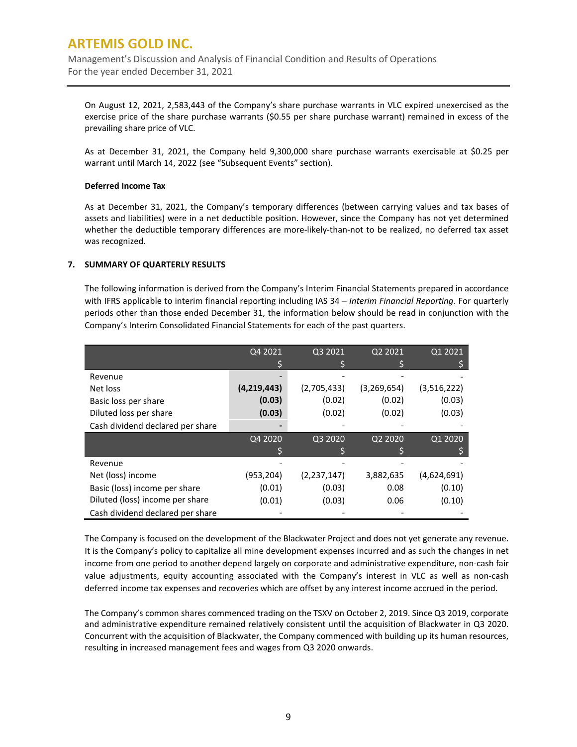Management's Discussion and Analysis of Financial Condition and Results of Operations For the year ended December 31, 2021

On August 12, 2021, 2,583,443 of the Company's share purchase warrants in VLC expired unexercised as the exercise price of the share purchase warrants (\$0.55 per share purchase warrant) remained in excess of the prevailing share price of VLC.

As at December 31, 2021, the Company held 9,300,000 share purchase warrants exercisable at \$0.25 per warrant until March 14, 2022 (see "Subsequent Events" section).

#### **Deferred Income Tax**

As at December 31, 2021, the Company's temporary differences (between carrying values and tax bases of assets and liabilities) were in a net deductible position. However, since the Company has not yet determined whether the deductible temporary differences are more-likely-than-not to be realized, no deferred tax asset was recognized.

### **7. SUMMARY OF QUARTERLY RESULTS**

The following information is derived from the Company's Interim Financial Statements prepared in accordance with IFRS applicable to interim financial reporting including IAS 34 – *Interim Financial Reporting*. For quarterly periods other than those ended December 31, the information below should be read in conjunction with the Company's Interim Consolidated Financial Statements for each of the past quarters.

|                                  | Q4 2021     | Q3 2021     | Q2 2021       | Q1 2021     |
|----------------------------------|-------------|-------------|---------------|-------------|
|                                  |             |             |               |             |
| Revenue                          |             |             |               |             |
| Net loss                         | (4,219,443) | (2,705,433) | (3, 269, 654) | (3,516,222) |
| Basic loss per share             | (0.03)      | (0.02)      | (0.02)        | (0.03)      |
| Diluted loss per share           | (0.03)      | (0.02)      | (0.02)        | (0.03)      |
| Cash dividend declared per share |             |             |               |             |
|                                  | Q4 2020     | Q3 2020     | Q2 2020       | Q1 2020     |
|                                  |             |             |               |             |
| Revenue                          |             |             |               |             |
| Net (loss) income                | (953,204)   | (2,237,147) | 3,882,635     | (4,624,691) |
| Basic (loss) income per share    | (0.01)      | (0.03)      | 0.08          | (0.10)      |
| Diluted (loss) income per share  | (0.01)      | (0.03)      | 0.06          | (0.10)      |
| Cash dividend declared per share |             |             |               |             |

The Company is focused on the development of the Blackwater Project and does not yet generate any revenue. It is the Company's policy to capitalize all mine development expenses incurred and as such the changes in net income from one period to another depend largely on corporate and administrative expenditure, non-cash fair value adjustments, equity accounting associated with the Company's interest in VLC as well as non-cash deferred income tax expenses and recoveries which are offset by any interest income accrued in the period.

The Company's common shares commenced trading on the TSXV on October 2, 2019. Since Q3 2019, corporate and administrative expenditure remained relatively consistent until the acquisition of Blackwater in Q3 2020. Concurrent with the acquisition of Blackwater, the Company commenced with building up its human resources, resulting in increased management fees and wages from Q3 2020 onwards.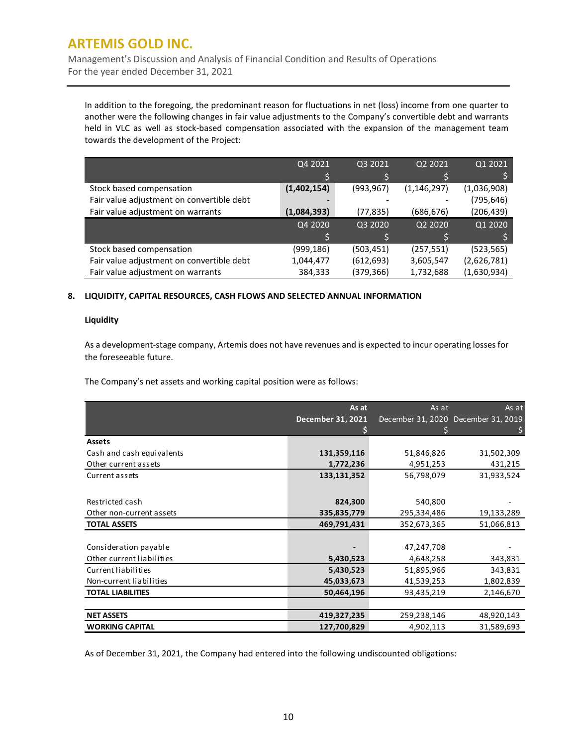Management's Discussion and Analysis of Financial Condition and Results of Operations For the year ended December 31, 2021

In addition to the foregoing, the predominant reason for fluctuations in net (loss) income from one quarter to another were the following changes in fair value adjustments to the Company's convertible debt and warrants held in VLC as well as stock-based compensation associated with the expansion of the management team towards the development of the Project:

|                                           | Q4 2021     | Q3 2021    | Q2 2021       | Q1 2021     |
|-------------------------------------------|-------------|------------|---------------|-------------|
|                                           |             |            |               |             |
| Stock based compensation                  | (1,402,154) | (993, 967) | (1, 146, 297) | (1,036,908) |
| Fair value adjustment on convertible debt |             |            |               | (795,646)   |
| Fair value adjustment on warrants         | (1,084,393) | (77,835)   | (686, 676)    | (206, 439)  |
|                                           | Q4 2020     | Q3 2020    | Q2 2020       | Q1 2020     |
|                                           |             |            |               |             |
| Stock based compensation                  | (999,186)   | (503, 451) | (257, 551)    | (523, 565)  |
| Fair value adjustment on convertible debt | 1,044,477   | (612, 693) | 3,605,547     | (2,626,781) |
| Fair value adjustment on warrants         | 384,333     | (379,366)  | 1,732,688     | (1,630,934) |

### **8. LIQUIDITY, CAPITAL RESOURCES, CASH FLOWS AND SELECTED ANNUAL INFORMATION**

#### **Liquidity**

As a development-stage company, Artemis does not have revenues and is expected to incur operating losses for the foreseeable future.

The Company's net assets and working capital position were as follows:

|                           | As at                    | As at       | As at                               |
|---------------------------|--------------------------|-------------|-------------------------------------|
|                           | <b>December 31, 2021</b> |             | December 31, 2020 December 31, 2019 |
|                           |                          |             |                                     |
| <b>Assets</b>             |                          |             |                                     |
| Cash and cash equivalents | 131,359,116              | 51,846,826  | 31,502,309                          |
| Other current assets      | 1,772,236                | 4,951,253   | 431,215                             |
| Current assets            | 133,131,352              | 56,798,079  | 31,933,524                          |
|                           |                          |             |                                     |
| Restricted cash           | 824,300                  | 540,800     |                                     |
| Other non-current assets  | 335,835,779              | 295,334,486 | 19,133,289                          |
| <b>TOTAL ASSETS</b>       | 469,791,431              | 352,673,365 | 51,066,813                          |
|                           |                          |             |                                     |
| Consideration payable     |                          | 47,247,708  |                                     |
| Other current liabilities | 5,430,523                | 4,648,258   | 343,831                             |
| Current liabilities       | 5,430,523                | 51,895,966  | 343,831                             |
| Non-current liabilities   | 45,033,673               | 41,539,253  | 1,802,839                           |
| <b>TOTAL LIABILITIES</b>  | 50,464,196               | 93,435,219  | 2,146,670                           |
|                           |                          |             |                                     |
| <b>NET ASSETS</b>         | 419,327,235              | 259,238,146 | 48,920,143                          |
| <b>WORKING CAPITAL</b>    | 127,700,829              | 4,902,113   | 31,589,693                          |

As of December 31, 2021, the Company had entered into the following undiscounted obligations: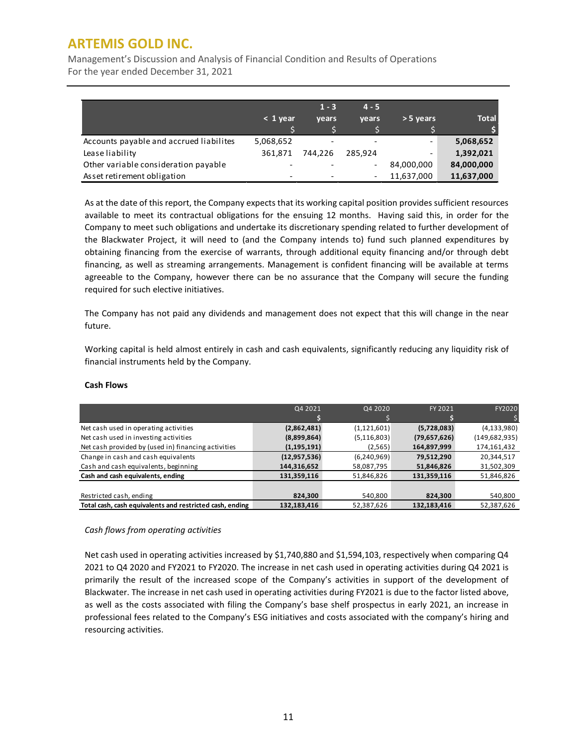Management's Discussion and Analysis of Financial Condition and Results of Operations For the year ended December 31, 2021

|                                         | $< 1$ year | $1 - 3$<br>vears | $4 - 5$<br>vears         | > 5 years                | <b>Total</b> |
|-----------------------------------------|------------|------------------|--------------------------|--------------------------|--------------|
| Accounts payable and accrued liabilites | 5,068,652  |                  | $\overline{\phantom{a}}$ | $\overline{\phantom{a}}$ | 5,068,652    |
| Lease liability                         | 361.871    | 744.226          | 285.924                  | -                        | 1,392,021    |
| Other variable consideration payable    |            |                  | $\overline{\phantom{a}}$ | 84,000,000               | 84,000,000   |
| Asset retirement obligation             |            |                  | -                        | 11,637,000               | 11,637,000   |

As at the date of this report, the Company expects that its working capital position provides sufficient resources available to meet its contractual obligations for the ensuing 12 months. Having said this, in order for the Company to meet such obligations and undertake its discretionary spending related to further development of the Blackwater Project, it will need to (and the Company intends to) fund such planned expenditures by obtaining financing from the exercise of warrants, through additional equity financing and/or through debt financing, as well as streaming arrangements. Management is confident financing will be available at terms agreeable to the Company, however there can be no assurance that the Company will secure the funding required for such elective initiatives.

The Company has not paid any dividends and management does not expect that this will change in the near future.

Working capital is held almost entirely in cash and cash equivalents, significantly reducing any liquidity risk of financial instruments held by the Company.

|                                                          | Q4 2021        | Q4 2020       | FY 2021      | FY2020        |
|----------------------------------------------------------|----------------|---------------|--------------|---------------|
|                                                          |                |               |              |               |
| Net cash used in operating activities                    | (2,862,481)    | (1, 121, 601) | (5,728,083)  | (4, 133, 980) |
| Net cash used in investing activities                    | (8,899,864)    | (5, 116, 803) | (79,657,626) | (149,682,935) |
| Net cash provided by (used in) financing activities      | (1, 195, 191)  | (2, 565)      | 164,897,999  | 174,161,432   |
| Change in cash and cash equivalents                      | (12, 957, 536) | (6,240,969)   | 79,512,290   | 20,344,517    |
| Cash and cash equivalents, beginning                     | 144,316,652    | 58,087,795    | 51,846,826   | 31,502,309    |
| Cash and cash equivalents, ending                        | 131,359,116    | 51,846,826    | 131,359,116  | 51,846,826    |
|                                                          |                |               |              |               |
| Restricted cash, ending                                  | 824,300        | 540,800       | 824,300      | 540,800       |
| Total cash, cash equivalents and restricted cash, ending | 132,183,416    | 52,387,626    | 132,183,416  | 52,387,626    |

### **Cash Flows**

### *Cash flows from operating activities*

Net cash used in operating activities increased by \$1,740,880 and \$1,594,103, respectively when comparing Q4 2021 to Q4 2020 and FY2021 to FY2020. The increase in net cash used in operating activities during Q4 2021 is primarily the result of the increased scope of the Company's activities in support of the development of Blackwater. The increase in net cash used in operating activities during FY2021 is due to the factor listed above, as well as the costs associated with filing the Company's base shelf prospectus in early 2021, an increase in professional fees related to the Company's ESG initiatives and costs associated with the company's hiring and resourcing activities.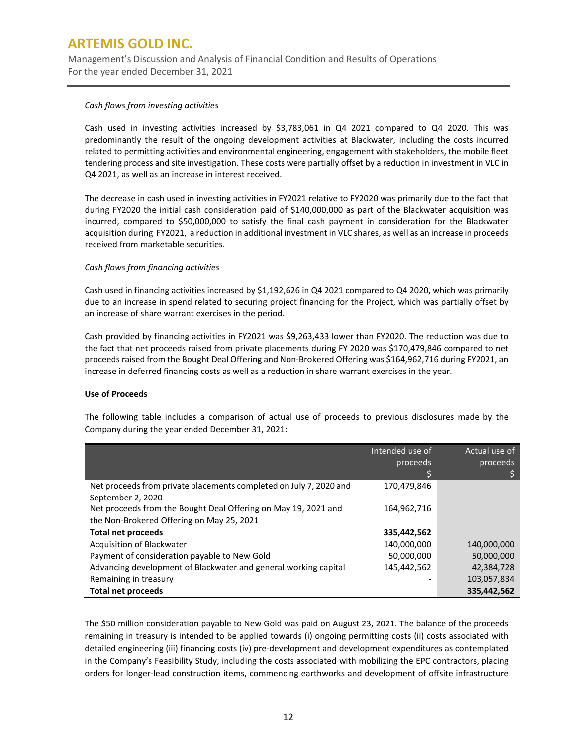Management's Discussion and Analysis of Financial Condition and Results of Operations For the year ended December 31, 2021

#### *Cash flows from investing activities*

Cash used in investing activities increased by \$3,783,061 in Q4 2021 compared to Q4 2020. This was predominantly the result of the ongoing development activities at Blackwater, including the costs incurred related to permitting activities and environmental engineering, engagement with stakeholders, the mobile fleet tendering process and site investigation. These costs were partially offset by a reduction in investment in VLC in Q4 2021, as well as an increase in interest received.

The decrease in cash used in investing activities in FY2021 relative to FY2020 was primarily due to the fact that during FY2020 the initial cash consideration paid of \$140,000,000 as part of the Blackwater acquisition was incurred, compared to \$50,000,000 to satisfy the final cash payment in consideration for the Blackwater acquisition during FY2021, a reduction in additional investment in VLC shares, as well as an increase in proceeds received from marketable securities.

### *Cash flows from financing activities*

Cash used in financing activities increased by \$1,192,626 in Q4 2021 compared to Q4 2020, which was primarily due to an increase in spend related to securing project financing for the Project, which was partially offset by an increase of share warrant exercises in the period.

Cash provided by financing activities in FY2021 was \$9,263,433 lower than FY2020. The reduction was due to the fact that net proceeds raised from private placements during FY 2020 was \$170,479,846 compared to net proceeds raised from the Bought Deal Offering and Non-Brokered Offering was \$164,962,716 during FY2021, an increase in deferred financing costs as well as a reduction in share warrant exercises in the year.

#### **Use of Proceeds**

The following table includes a comparison of actual use of proceeds to previous disclosures made by the Company during the year ended December 31, 2021:

|                                                                    | Intended use of<br>proceeds | Actual use of<br>proceeds |
|--------------------------------------------------------------------|-----------------------------|---------------------------|
| Net proceeds from private placements completed on July 7, 2020 and | 170,479,846                 |                           |
| September 2, 2020                                                  |                             |                           |
| Net proceeds from the Bought Deal Offering on May 19, 2021 and     | 164,962,716                 |                           |
| the Non-Brokered Offering on May 25, 2021                          |                             |                           |
| <b>Total net proceeds</b>                                          | 335,442,562                 |                           |
| Acquisition of Blackwater                                          | 140,000,000                 | 140.000.000               |
| Payment of consideration payable to New Gold                       | 50,000,000                  | 50,000,000                |
| Advancing development of Blackwater and general working capital    | 145,442,562                 | 42,384,728                |
| Remaining in treasury                                              |                             | 103,057,834               |
| <b>Total net proceeds</b>                                          |                             | 335,442,562               |

The \$50 million consideration payable to New Gold was paid on August 23, 2021. The balance of the proceeds remaining in treasury is intended to be applied towards (i) ongoing permitting costs (ii) costs associated with detailed engineering (iii) financing costs (iv) pre-development and development expenditures as contemplated in the Company's Feasibility Study, including the costs associated with mobilizing the EPC contractors, placing orders for longer-lead construction items, commencing earthworks and development of offsite infrastructure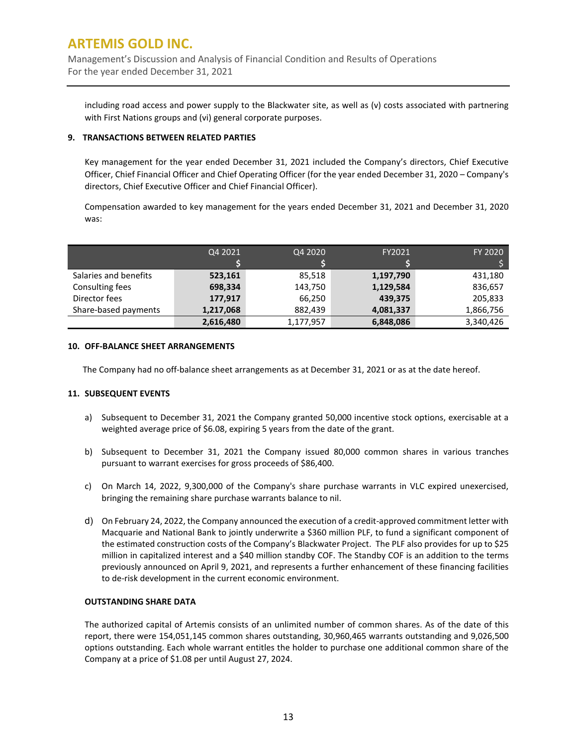Management's Discussion and Analysis of Financial Condition and Results of Operations For the year ended December 31, 2021

including road access and power supply to the Blackwater site, as well as (v) costs associated with partnering with First Nations groups and (vi) general corporate purposes.

#### **9. TRANSACTIONS BETWEEN RELATED PARTIES**

Key management for the year ended December 31, 2021 included the Company's directors, Chief Executive Officer, Chief Financial Officer and Chief Operating Officer (for the year ended December 31, 2020 – Company's directors, Chief Executive Officer and Chief Financial Officer).

Compensation awarded to key management for the years ended December 31, 2021 and December 31, 2020 was:

|                       | Q4 2021   | Q4 2020   | FY2021    | FY 2020   |
|-----------------------|-----------|-----------|-----------|-----------|
|                       |           |           |           |           |
| Salaries and benefits | 523,161   | 85,518    | 1,197,790 | 431,180   |
| Consulting fees       | 698,334   | 143,750   | 1,129,584 | 836,657   |
| Director fees         | 177,917   | 66,250    | 439,375   | 205,833   |
| Share-based payments  | 1,217,068 | 882.439   | 4,081,337 | 1,866,756 |
|                       | 2,616,480 | 1,177,957 | 6,848,086 | 3,340,426 |

#### **10. OFF-BALANCE SHEET ARRANGEMENTS**

The Company had no off-balance sheet arrangements as at December 31, 2021 or as at the date hereof.

### **11. SUBSEQUENT EVENTS**

- a) Subsequent to December 31, 2021 the Company granted 50,000 incentive stock options, exercisable at a weighted average price of \$6.08, expiring 5 years from the date of the grant.
- b) Subsequent to December 31, 2021 the Company issued 80,000 common shares in various tranches pursuant to warrant exercises for gross proceeds of \$86,400.
- c) On March 14, 2022, 9,300,000 of the Company's share purchase warrants in VLC expired unexercised, bringing the remaining share purchase warrants balance to nil.
- d) On February 24, 2022, the Company announced the execution of a credit-approved commitment letter with Macquarie and National Bank to jointly underwrite a \$360 million PLF, to fund a significant component of the estimated construction costs of the Company's Blackwater Project. The PLF also provides for up to \$25 million in capitalized interest and a \$40 million standby COF. The Standby COF is an addition to the terms previously announced on April 9, 2021, and represents a further enhancement of these financing facilities to de-risk development in the current economic environment.

## **OUTSTANDING SHARE DATA**

The authorized capital of Artemis consists of an unlimited number of common shares. As of the date of this report, there were 154,051,145 common shares outstanding, 30,960,465 warrants outstanding and 9,026,500 options outstanding. Each whole warrant entitles the holder to purchase one additional common share of the Company at a price of \$1.08 per until August 27, 2024.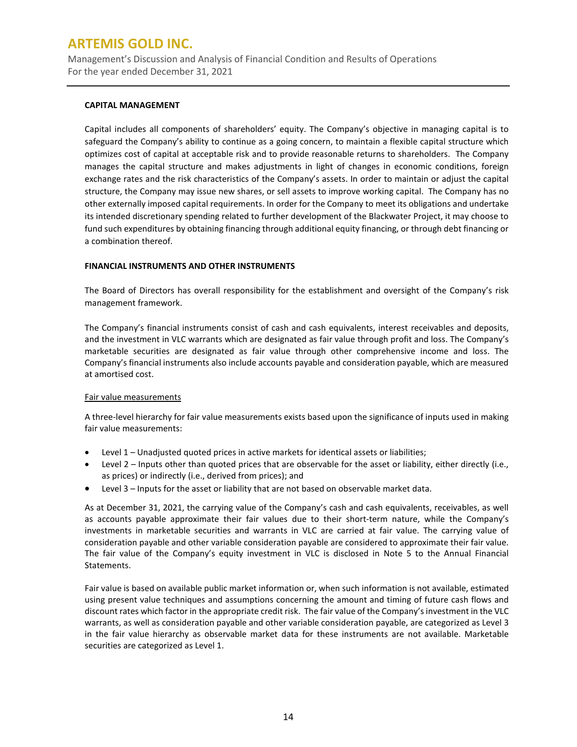Management's Discussion and Analysis of Financial Condition and Results of Operations For the year ended December 31, 2021

### **CAPITAL MANAGEMENT**

Capital includes all components of shareholders' equity. The Company's objective in managing capital is to safeguard the Company's ability to continue as a going concern, to maintain a flexible capital structure which optimizes cost of capital at acceptable risk and to provide reasonable returns to shareholders. The Company manages the capital structure and makes adjustments in light of changes in economic conditions, foreign exchange rates and the risk characteristics of the Company's assets. In order to maintain or adjust the capital structure, the Company may issue new shares, or sell assets to improve working capital. The Company has no other externally imposed capital requirements. In order for the Company to meet its obligations and undertake its intended discretionary spending related to further development of the Blackwater Project, it may choose to fund such expenditures by obtaining financing through additional equity financing, or through debt financing or a combination thereof.

#### **FINANCIAL INSTRUMENTS AND OTHER INSTRUMENTS**

The Board of Directors has overall responsibility for the establishment and oversight of the Company's risk management framework.

The Company's financial instruments consist of cash and cash equivalents, interest receivables and deposits, and the investment in VLC warrants which are designated as fair value through profit and loss. The Company's marketable securities are designated as fair value through other comprehensive income and loss. The Company's financial instruments also include accounts payable and consideration payable, which are measured at amortised cost.

#### Fair value measurements

A three-level hierarchy for fair value measurements exists based upon the significance of inputs used in making fair value measurements:

- Level 1 Unadjusted quoted prices in active markets for identical assets or liabilities;
- Level 2 Inputs other than quoted prices that are observable for the asset or liability, either directly (i.e., as prices) or indirectly (i.e., derived from prices); and
- Level 3 Inputs for the asset or liability that are not based on observable market data.

As at December 31, 2021, the carrying value of the Company's cash and cash equivalents, receivables, as well as accounts payable approximate their fair values due to their short-term nature, while the Company's investments in marketable securities and warrants in VLC are carried at fair value. The carrying value of consideration payable and other variable consideration payable are considered to approximate their fair value. The fair value of the Company's equity investment in VLC is disclosed in Note 5 to the Annual Financial Statements.

Fair value is based on available public market information or, when such information is not available, estimated using present value techniques and assumptions concerning the amount and timing of future cash flows and discount rates which factor in the appropriate credit risk. The fair value of the Company's investment in the VLC warrants, as well as consideration payable and other variable consideration payable, are categorized as Level 3 in the fair value hierarchy as observable market data for these instruments are not available. Marketable securities are categorized as Level 1.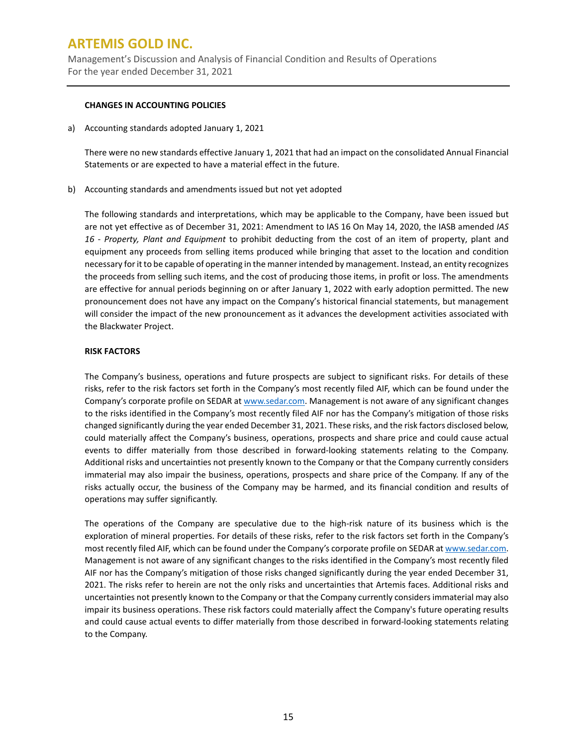Management's Discussion and Analysis of Financial Condition and Results of Operations For the year ended December 31, 2021

#### **CHANGES IN ACCOUNTING POLICIES**

a) Accounting standards adopted January 1, 2021

There were no new standards effective January 1, 2021 that had an impact on the consolidated Annual Financial Statements or are expected to have a material effect in the future.

b) Accounting standards and amendments issued but not yet adopted

The following standards and interpretations, which may be applicable to the Company, have been issued but are not yet effective as of December 31, 2021: Amendment to IAS 16 On May 14, 2020, the IASB amended *IAS 16 - Property, Plant and Equipment* to prohibit deducting from the cost of an item of property, plant and equipment any proceeds from selling items produced while bringing that asset to the location and condition necessary for it to be capable of operating in the manner intended by management. Instead, an entity recognizes the proceeds from selling such items, and the cost of producing those items, in profit or loss. The amendments are effective for annual periods beginning on or after January 1, 2022 with early adoption permitted. The new pronouncement does not have any impact on the Company's historical financial statements, but management will consider the impact of the new pronouncement as it advances the development activities associated with the Blackwater Project.

### **RISK FACTORS**

The Company's business, operations and future prospects are subject to significant risks. For details of these risks, refer to the risk factors set forth in the Company's most recently filed AIF, which can be found under the Company's corporate profile on SEDAR at [www.sedar.com.](http://www.sedar.com/) Management is not aware of any significant changes to the risks identified in the Company's most recently filed AIF nor has the Company's mitigation of those risks changed significantly during the year ended December 31, 2021. These risks, and the risk factors disclosed below, could materially affect the Company's business, operations, prospects and share price and could cause actual events to differ materially from those described in forward-looking statements relating to the Company. Additional risks and uncertainties not presently known to the Company or that the Company currently considers immaterial may also impair the business, operations, prospects and share price of the Company. If any of the risks actually occur, the business of the Company may be harmed, and its financial condition and results of operations may suffer significantly.

The operations of the Company are speculative due to the high-risk nature of its business which is the exploration of mineral properties. For details of these risks, refer to the risk factors set forth in the Company's most recently filed AIF, which can be found under the Company's corporate profile on SEDAR a[t www.sedar.com.](http://www.sedar.com/) Management is not aware of any significant changes to the risks identified in the Company's most recently filed AIF nor has the Company's mitigation of those risks changed significantly during the year ended December 31, 2021. The risks refer to herein are not the only risks and uncertainties that Artemis faces. Additional risks and uncertainties not presently known to the Company or that the Company currently considers immaterial may also impair its business operations. These risk factors could materially affect the Company's future operating results and could cause actual events to differ materially from those described in forward-looking statements relating to the Company.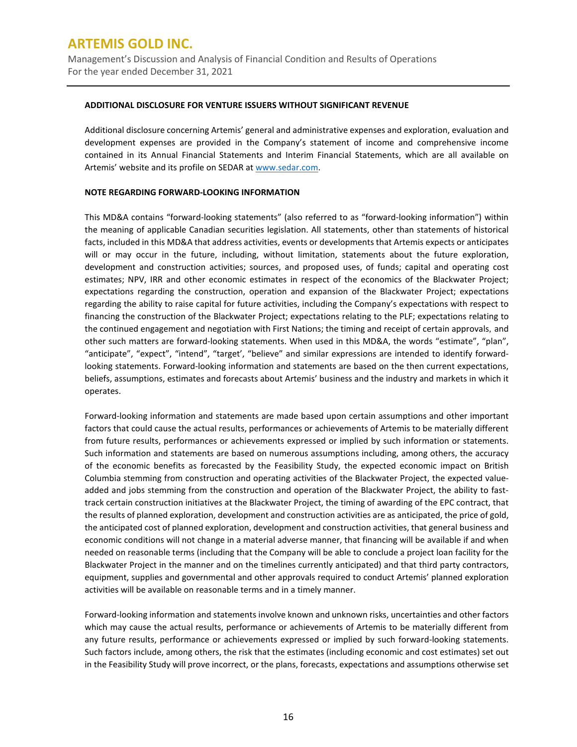Management's Discussion and Analysis of Financial Condition and Results of Operations For the year ended December 31, 2021

#### **ADDITIONAL DISCLOSURE FOR VENTURE ISSUERS WITHOUT SIGNIFICANT REVENUE**

Additional disclosure concerning Artemis' general and administrative expenses and exploration, evaluation and development expenses are provided in the Company's statement of income and comprehensive income contained in its Annual Financial Statements and Interim Financial Statements, which are all available on Artemis' website and its profile on SEDAR a[t www.sedar.com.](http://www.sedar.com/)

#### **NOTE REGARDING FORWARD-LOOKING INFORMATION**

This MD&A contains "forward-looking statements" (also referred to as "forward-looking information") within the meaning of applicable Canadian securities legislation. All statements, other than statements of historical facts, included in this MD&A that address activities, events or developments that Artemis expects or anticipates will or may occur in the future, including, without limitation, statements about the future exploration, development and construction activities; sources, and proposed uses, of funds; capital and operating cost estimates; NPV, IRR and other economic estimates in respect of the economics of the Blackwater Project; expectations regarding the construction, operation and expansion of the Blackwater Project; expectations regarding the ability to raise capital for future activities, including the Company's expectations with respect to financing the construction of the Blackwater Project; expectations relating to the PLF; expectations relating to the continued engagement and negotiation with First Nations; the timing and receipt of certain approvals*,* and other such matters are forward-looking statements. When used in this MD&A, the words "estimate", "plan", "anticipate", "expect", "intend", "target', "believe" and similar expressions are intended to identify forwardlooking statements. Forward-looking information and statements are based on the then current expectations, beliefs, assumptions, estimates and forecasts about Artemis' business and the industry and markets in which it operates.

Forward-looking information and statements are made based upon certain assumptions and other important factors that could cause the actual results, performances or achievements of Artemis to be materially different from future results, performances or achievements expressed or implied by such information or statements. Such information and statements are based on numerous assumptions including, among others, the accuracy of the economic benefits as forecasted by the Feasibility Study, the expected economic impact on British Columbia stemming from construction and operating activities of the Blackwater Project, the expected valueadded and jobs stemming from the construction and operation of the Blackwater Project, the ability to fasttrack certain construction initiatives at the Blackwater Project, the timing of awarding of the EPC contract, that the results of planned exploration, development and construction activities are as anticipated, the price of gold, the anticipated cost of planned exploration, development and construction activities, that general business and economic conditions will not change in a material adverse manner, that financing will be available if and when needed on reasonable terms (including that the Company will be able to conclude a project loan facility for the Blackwater Project in the manner and on the timelines currently anticipated) and that third party contractors, equipment, supplies and governmental and other approvals required to conduct Artemis' planned exploration activities will be available on reasonable terms and in a timely manner.

Forward-looking information and statements involve known and unknown risks, uncertainties and other factors which may cause the actual results, performance or achievements of Artemis to be materially different from any future results, performance or achievements expressed or implied by such forward-looking statements. Such factors include, among others, the risk that the estimates (including economic and cost estimates) set out in the Feasibility Study will prove incorrect, or the plans, forecasts, expectations and assumptions otherwise set